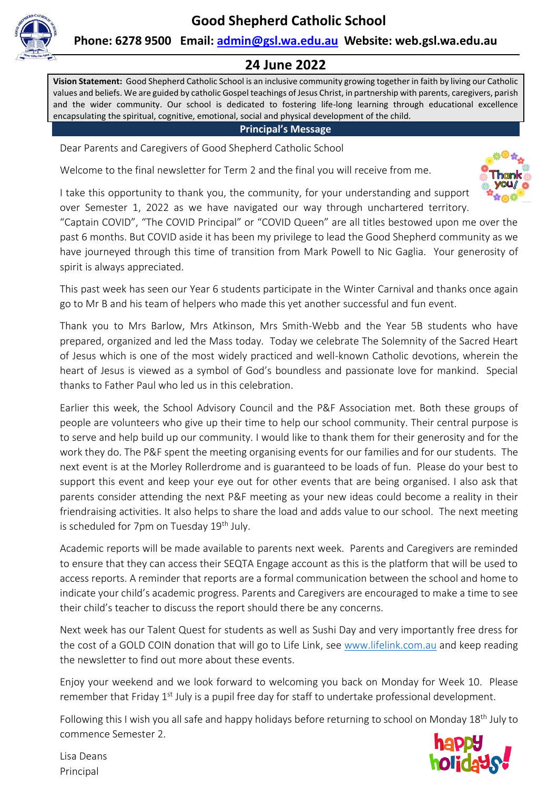

## **Phone: 6278 9500 Email: [admin@gsl.wa.edu.au](mailto:admin@gsl.wa.edu.au) Website: web.gsl.wa.edu.au**

## **24 June 2022**

**Vision Statement:** Good Shepherd Catholic School is an inclusive community growing together in faith by living our Catholic values and beliefs. We are guided by catholic Gospel teachings of Jesus Christ, in partnership with parents, caregivers, parish and the wider community. Our school is dedicated to fostering life-long learning through educational excellence encapsulating the spiritual, cognitive, emotional, social and physical development of the child.

**Principal's Message**

Dear Parents and Caregivers of Good Shepherd Catholic School

Welcome to the final newsletter for Term 2 and the final you will receive from me.

I take this opportunity to thank you, the community, for your understanding and support over Semester 1, 2022 as we have navigated our way through unchartered territory.



"Captain COVID", "The COVID Principal" or "COVID Queen" are all titles bestowed upon me over the past 6 months. But COVID aside it has been my privilege to lead the Good Shepherd community as we have journeyed through this time of transition from Mark Powell to Nic Gaglia. Your generosity of spirit is always appreciated.

This past week has seen our Year 6 students participate in the Winter Carnival and thanks once again go to Mr B and his team of helpers who made this yet another successful and fun event.

Thank you to Mrs Barlow, Mrs Atkinson, Mrs Smith-Webb and the Year 5B students who have prepared, organized and led the Mass today. Today we celebrate The Solemnity of the Sacred Heart of Jesus which is one of the most widely practiced and well-known Catholic devotions, wherein the heart of Jesus is viewed as a symbol of God's boundless and passionate love for mankind. Special thanks to Father Paul who led us in this celebration.

Earlier this week, the School Advisory Council and the P&F Association met. Both these groups of people are volunteers who give up their time to help our school community. Their central purpose is to serve and help build up our community. I would like to thank them for their generosity and for the work they do. The P&F spent the meeting organising events for our families and for our students. The next event is at the Morley Rollerdrome and is guaranteed to be loads of fun. Please do your best to support this event and keep your eye out for other events that are being organised. I also ask that parents consider attending the next P&F meeting as your new ideas could become a reality in their friendraising activities. It also helps to share the load and adds value to our school. The next meeting is scheduled for 7pm on Tuesday  $19<sup>th</sup>$  July.

Academic reports will be made available to parents next week. Parents and Caregivers are reminded to ensure that they can access their SEQTA Engage account as this is the platform that will be used to access reports. A reminder that reports are a formal communication between the school and home to indicate your child's academic progress. Parents and Caregivers are encouraged to make a time to see their child's teacher to discuss the report should there be any concerns.

Next week has our Talent Quest for students as well as Sushi Day and very importantly free dress for the cost of a GOLD COIN donation that will go to Life Link, see [www.lifelink.com.au](http://www.lifelink.com.au/) and keep reading the newsletter to find out more about these events.

Enjoy your weekend and we look forward to welcoming you back on Monday for Week 10. Please remember that Friday 1<sup>st</sup> July is a pupil free day for staff to undertake professional development.

Following this I wish you all safe and happy holidays before returning to school on Monday 18<sup>th</sup> July to commence Semester 2.



Lisa Deans Principal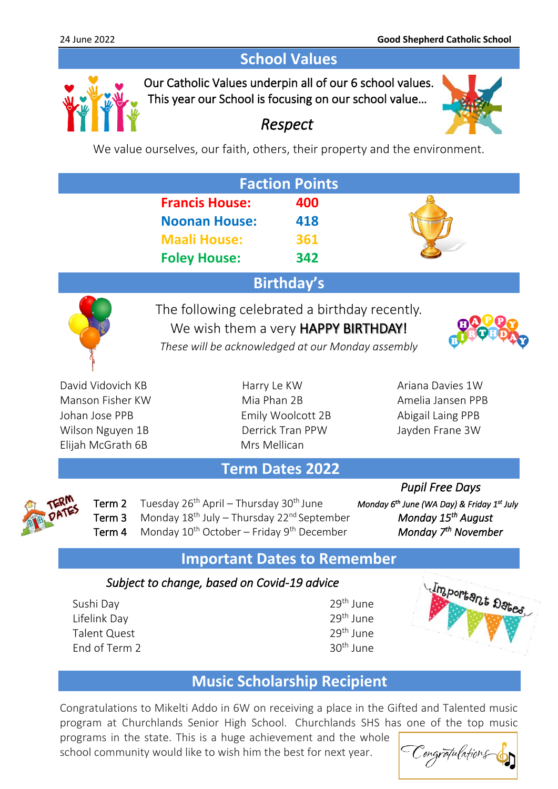# **School Values**



Our Catholic Values underpin all of our 6 school values. This year our School is focusing on our school value…



# *Respect*

We value ourselves, our faith, others, their property and the environment.

|                   |                                                                                             | <b>Faction Points</b>                                                                                                                     |                   |  |
|-------------------|---------------------------------------------------------------------------------------------|-------------------------------------------------------------------------------------------------------------------------------------------|-------------------|--|
|                   | <b>Francis House:</b><br><b>Noonan House:</b><br><b>Maali House:</b><br><b>Foley House:</b> | 400<br>418<br>361<br>342                                                                                                                  |                   |  |
| <b>Birthday's</b> |                                                                                             |                                                                                                                                           |                   |  |
|                   |                                                                                             | The following celebrated a birthday recently.<br>We wish them a very HAPPY BIRTHDAY!<br>These will be acknowledged at our Monday assembly |                   |  |
| David Vidovich KB |                                                                                             | Harry Le KW                                                                                                                               | Ariana Davies 1W  |  |
| Manson Fisher KW  |                                                                                             | Mia Phan 2B                                                                                                                               | Amelia Jansen PPB |  |
| Johan Jose PPB    |                                                                                             | Emily Woolcott 2B                                                                                                                         | Abigail Laing PPB |  |
| Wilson Nguyen 1B  |                                                                                             | Derrick Tran PPW                                                                                                                          | Jayden Frane 3W   |  |
| Elijah McGrath 6B |                                                                                             | Mrs Mellican                                                                                                                              |                   |  |

# **Term Dates 2022**



Term 2 Tuesday 26<sup>th</sup> April – Thursday 30<sup>th</sup> June Term 3 Monday 18<sup>th</sup> July – Thursday 22<sup>nd</sup> September Term 4 Monday 10<sup>th</sup> October – Friday 9<sup>th</sup> December

 *Pupil Free Days ' June (WA Day) & Friday 1<sup>st</sup> July Monday 15<sup>th</sup> August Monday* 7<sup>th</sup> November

# **Important Dates to Remember**

## *Subject to change, based on Covid-19 advice*

Sushi Day 29<sup>th</sup> June Lifelink Day 29<sup>th</sup> June Talent Quest  $29^{\text{th}}$  June<br>End of Term 2  $30^{\text{th}}$  June End of Term 2



# **Music Scholarship Recipient**

Congratulations to Mikelti Addo in 6W on receiving a place in the Gifted and Talented music program at Churchlands Senior High School. Churchlands SHS has one of the top music programs in the state. This is a huge achievement and the whole

school community would like to wish him the best for next year.

| Congrapulations |
|-----------------|
|-----------------|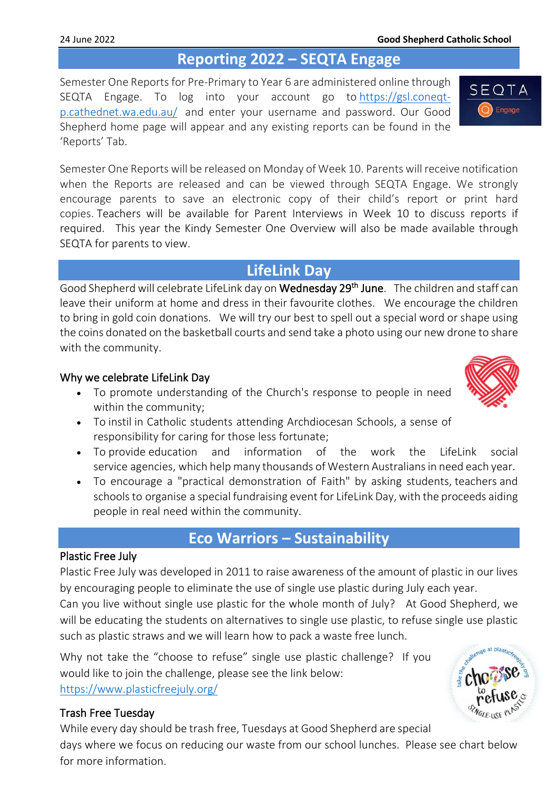# **Reporting 2022 – SEQTA Engage**

Semester One Reports for Pre-Primary to Year 6 are administered online through SEQTA Engage. To log into your account go to [https://gsl.coneqt](https://gsl.coneqt-p.cathednet.wa.edu.au/)[p.cathednet.wa.edu.au/](https://gsl.coneqt-p.cathednet.wa.edu.au/) and enter your username and password. Our Good Shepherd home page will appear and any existing reports can be found in the 'Reports' Tab.

Semester One Reports will be released on Monday of Week 10. Parents will receive notification when the Reports are released and can be viewed through SEQTA Engage. We strongly encourage parents to save an electronic copy of their child's report or print hard copies. Teachers will be available for Parent Interviews in Week 10 to discuss reports if required. This year the Kindy Semester One Overview will also be made available through SEQTA for parents to view.

# **LifeLink Day**

Good Shepherd will celebrate LifeLink day on Wednesday 29<sup>th</sup> June. The children and staff can leave their uniform at home and dress in their favourite clothes. We encourage the children to bring in gold coin donations. We will try our best to spell out a special word or shape using the coins donated on the basketball courts and send take a photo using our new drone to share with the community.

## Why we celebrate LifeLink Day

- To promote understanding of the Church's response to people in need within the community;
- To instil in Catholic students attending Archdiocesan Schools, a sense of responsibility for caring for those less fortunate;
- To provide education and information of the work the LifeLink social service agencies, which help many thousands of Western Australiansin need each year.
- To encourage a "practical demonstration of Faith" by asking students, teachers and schools to organise a special fundraising event for LifeLink Day, with the proceeds aiding people in real need within the community.

# **Eco Warriors – Sustainability**

## Plastic Free July

Plastic Free July was developed in 2011 to raise awareness of the amount of plastic in our lives by encouraging people to eliminate the use of single use plastic during July each year.

Can you live without single use plastic for the whole month of July? At Good Shepherd, we will be educating the students on alternatives to single use plastic, to refuse single use plastic such as plastic straws and we will learn how to pack a waste free lunch.

Why not take the "choose to refuse" single use plastic challenge? If you would like to join the challenge, please see the link below: <https://www.plasticfreejuly.org/>

## Trash Free Tuesday

While every day should be trash free, Tuesdays at Good Shepherd are special days where we focus on reducing our waste from our school lunches. Please see chart below for more information.



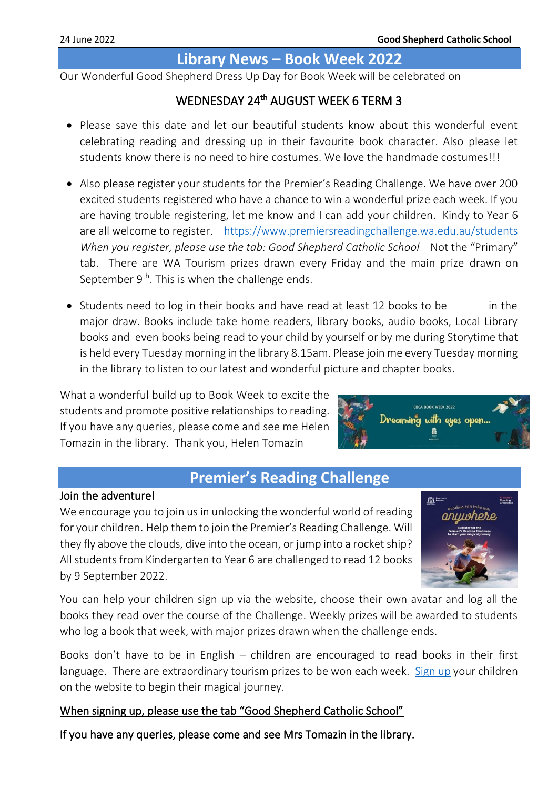## **Library News – Book Week 2022**

Our Wonderful Good Shepherd Dress Up Day for Book Week will be celebrated on

## WEDNESDAY 24<sup>th</sup> AUGUST WEEK 6 TERM 3

- Please save this date and let our beautiful students know about this wonderful event celebrating reading and dressing up in their favourite book character. Also please let students know there is no need to hire costumes. We love the handmade costumes!!!
- Also please register your students for the Premier's Reading Challenge. We have over 200 excited students registered who have a chance to win a wonderful prize each week. If you are having trouble registering, let me know and I can add your children. Kindy to Year 6 are all welcome to register. <https://www.premiersreadingchallenge.wa.edu.au/students> *When you register, please use the tab: Good Shepherd Catholic School Not the "Primary"* tab. There are WA Tourism prizes drawn every Friday and the main prize drawn on September  $9<sup>th</sup>$ . This is when the challenge ends.
- Students need to log in their books and have read at least 12 books to be in the major draw. Books include take home readers, library books, audio books, Local Library books and even books being read to your child by yourself or by me during Storytime that is held every Tuesday morning in the library 8.15am. Please join me every Tuesday morning in the library to listen to our latest and wonderful picture and chapter books.

What a wonderful build up to Book Week to excite the students and promote positive relationships to reading. If you have any queries, please come and see me Helen Tomazin in the library. Thank you, Helen Tomazin



# **Premier's Reading Challenge**

### Join the adventure!

We encourage you to join us in unlocking the wonderful world of reading for your children. Help them to join the Premier's Reading Challenge. Will they fly above the clouds, dive into the ocean, or jump into a rocket ship? All students from Kindergarten to Year 6 are challenged to read 12 books by 9 September 2022.



You can help your children sign up via the website, choose their own avatar and log all the books they read over the course of the Challenge. Weekly prizes will be awarded to students who log a book that week, with major prizes drawn when the challenge ends.

Books don't have to be in English – children are encouraged to read books in their first language. There are extraordinary tourism prizes to be won each week. [Sign up](https://www.premiersreadingchallenge.wa.edu.au/) your children on the website to begin their magical journey.

## When signing up, please use the tab "Good Shepherd Catholic School"

If you have any queries, please come and see Mrs Tomazin in the library.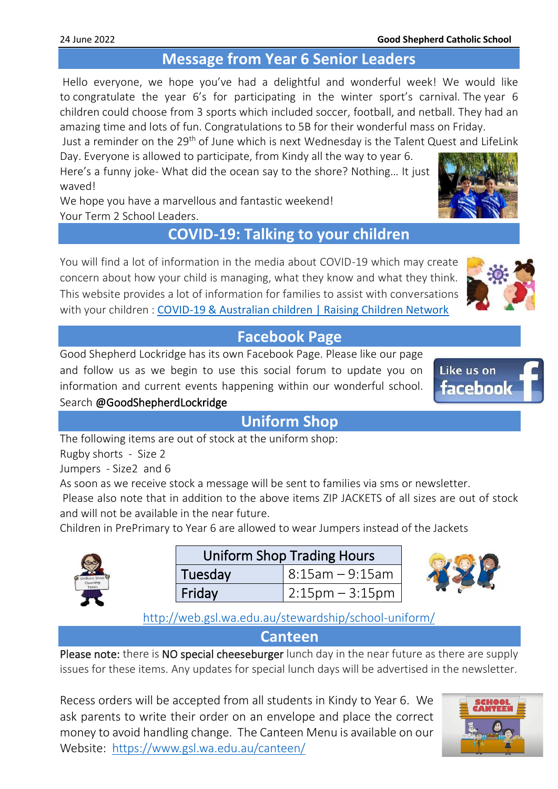# **Message from Year 6 Senior Leaders**

Hello everyone, we hope you've had a delightful and wonderful week! We would like to congratulate the year 6's for participating in the winter sport's carnival. The year 6 children could choose from 3 sports which included soccer, football, and netball. They had an amazing time and lots of fun. Congratulations to 5B for their wonderful mass on Friday.

Just a reminder on the 29<sup>th</sup> of June which is next Wednesday is the Talent Quest and LifeLink

Day. Everyone is allowed to participate, from Kindy all the way to year 6. Here's a funny joke- What did the ocean say to the shore? Nothing… It just waved!

We hope you have a marvellous and fantastic weekend! Your Term 2 School Leaders.

# **COVID-19: Talking to your children**

You will find a lot of information in the media about COVID-19 which may create concern about how your child is managing, what they know and what they think. This website provides a lot of information for families to assist with conversations with your children : [COVID-19 & Australian children | Raising Children Network](https://raisingchildren.net.au/guides/a-z-health-reference/coronavirus-and-children-in-australia#talking-with-children-about-covid-19-nav-title)

# **Facebook Page**

Good Shepherd Lockridge has its own Facebook Page. Please like our page and follow us as we begin to use this social forum to update you on information and current events happening within our wonderful school. Search @GoodShepherdLockridge

**Uniform Shop**

The following items are out of stock at the uniform shop:

Rugby shorts - Size 2

Jumpers - Size2 and 6

As soon as we receive stock a message will be sent to families via sms or newsletter.

Please also note that in addition to the above items ZIP JACKETS of all sizes are out of stock and will not be available in the near future.

Children in PrePrimary to Year 6 are allowed to wear Jumpers instead of the Jackets



| <b>Uniform Shop Trading Hours</b> |                      |  |  |
|-----------------------------------|----------------------|--|--|
| Tuesday                           | $  8:15$ am – 9:15am |  |  |
| Friday                            | $2:15$ pm – 3:15pm   |  |  |

<http://web.gsl.wa.edu.au/stewardship/school-uniform/>

**Canteen**

Please note: there is NO special cheeseburger lunch day in the near future as there are supply issues for these items. Any updates for special lunch days will be advertised in the newsletter.

Recess orders will be accepted from all students in Kindy to Year 6. We ask parents to write their order on an envelope and place the correct money to avoid handling change. The Canteen Menu is available on our Website: <https://www.gsl.wa.edu.au/canteen/>





Like us on

facebook



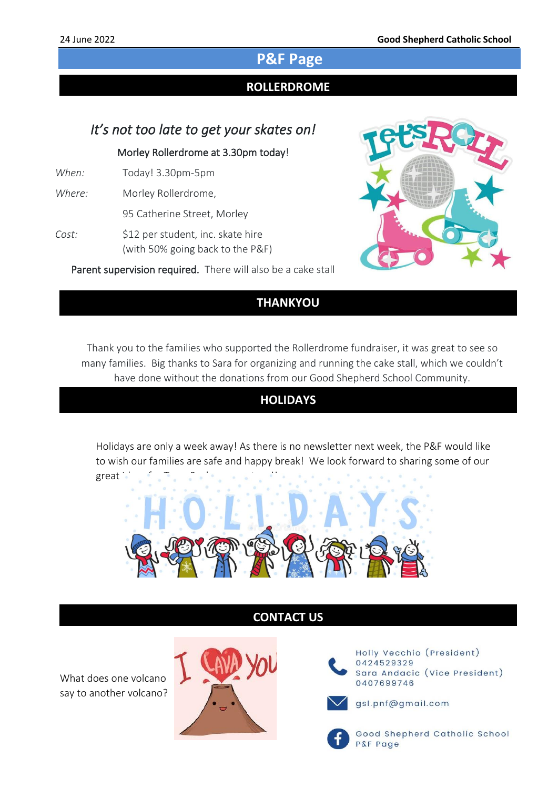# **P&F Page**

### Ι **ROLLERDROME**

## *It's not too late to get your skates on!*

### Morley Rollerdrome at 3.30pm today!

- *When:* Today! 3.30pm-5pm
- *Where:* Morley Rollerdrome,
	- 95 Catherine Street, Morley
- Cost: \$12 per student, inc. skate hire (with 50% going back to the P&F)

Parent supervision required. There will also be a cake stall available for you to purchase some yummy treats  $\mathcal{S}$  by and  $\mathcal{S}$  by and  $\mathcal{S}$ 



### help support the school! **THANKYOU**

Thank you to the families who supported the Rollerdrome fundraiser, it was great to see so many families. Big thanks to Sara for organizing and running the cake stall, which we couldn't have done without the donations from our Good Shepherd School Community.

## **HOLIDAYS**

Holidays are only a week away! As there is no newsletter next week, the P&F would like to wish our families are safe and happy break! We look forward to sharing some of our  $\text{great}$ 



## **CONTACT US**

What does one volcano say to another volcano?



Holly Vecchio (President) 0424529329 Sara Andacic (Vice President) 0407699746



gsl.pnf@gmail.com



Good Shepherd Catholic School P&F Page